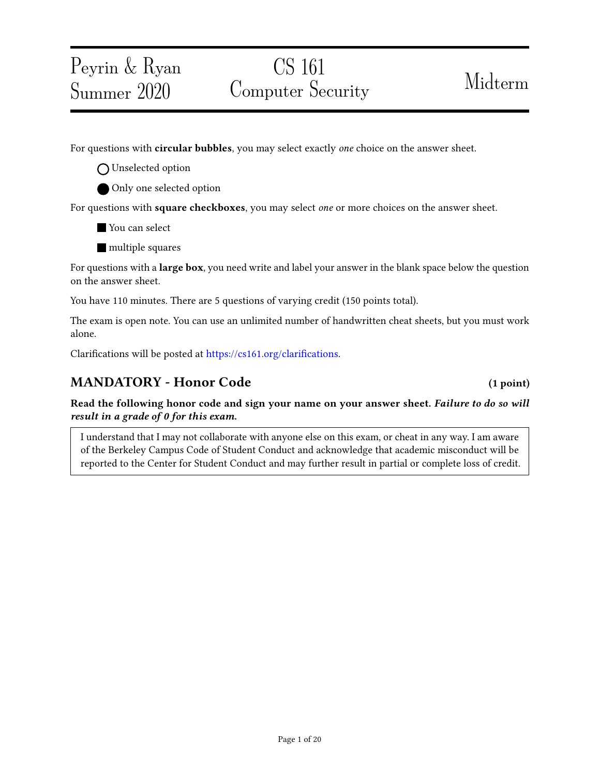## Peyrin & Ryan Summer 2020

# CS 161 Computer Security Midterm

For questions with **circular bubbles**, you may select exactly *one* choice on the answer sheet.

O Unselected option

Only one selected option

For questions with **square checkboxes**, you may select *one* or more choices on the answer sheet.

**You can select** 

**nultiple** squares

For questions with a **large box**, you need write and label your answer in the blank space below the question on the answer sheet.

You have 110 minutes. There are 5 questions of varying credit (150 points total).

The exam is open note. You can use an unlimited number of handwritten cheat sheets, but you must work alone.

Clarifications will be posted at https://cs161.org/clarifications.

## MANDATORY - Honor Code (1 point)

Read the following honor code and sign your name on your answer sheet. Failure to do so will result in a grade of 0 for this exam.

I understand that I may not collaborate with anyone else on this exam, or cheat in any way. I am aware of the Berkeley Campus Code of Student Conduct and acknowledge that academic misconduct will be reported to the Center for Student Conduct and may further result in partial or complete loss of credit.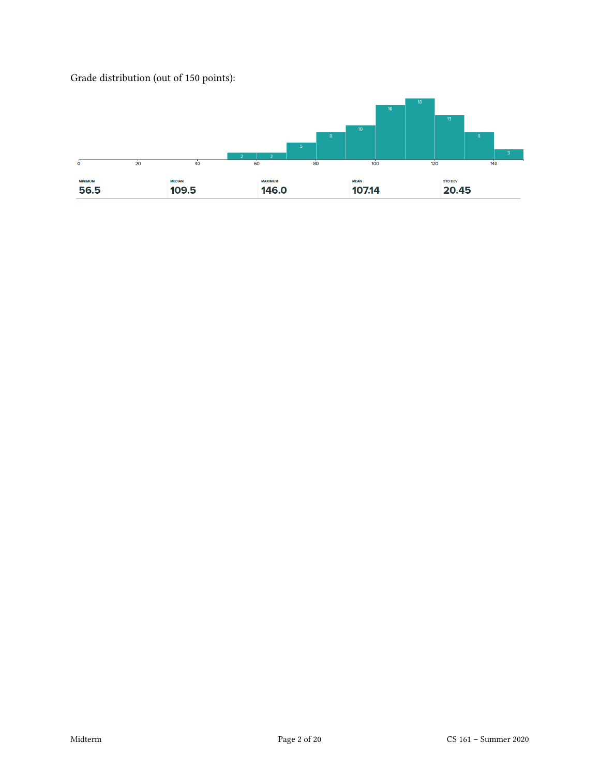

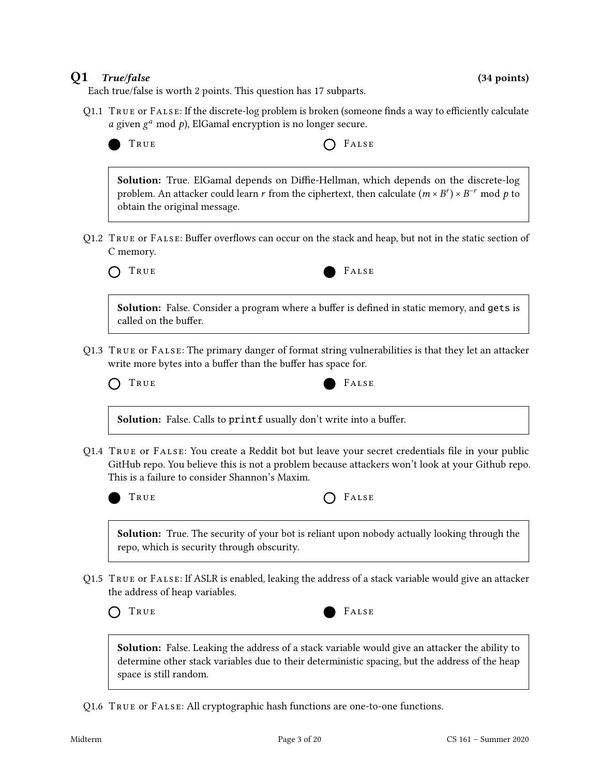#### Q1 True/false (34 points)

Each true/false is worth 2 points. This question has 17 subparts.

Q1.1 TRUE or FALSE: If the discrete-log problem is broken (someone finds a way to efficiently calculate  $a$  given  $g^a$  mod  $p$ ), ElGamal encryption is no longer secure.

| TRUE | $O$ FALSE |
|------|-----------|
|------|-----------|

Solution: True. ElGamal depends on Diffie-Hellman, which depends on the discrete-log problem. An attacker could learn r from the ciphertext, then calculate  $(m \times B^r) \times B^{-r}$  mod p to obtain the original message.

Q1.2 TRUE or FALSE: Buffer overflows can occur on the stack and heap, but not in the static section of C memory.



Solution: False. Consider a program where a buffer is defined in static memory, and gets is called on the buffer.

Q1.3 True or False: The primary danger of format string vulnerabilities is that they let an attacker write more bytes into a buffer than the buffer has space for.

| True | FALSE |
|------|-------|
|------|-------|

Solution: False. Calls to printf usually don't write into a buffer.

Q1.4 TRUE OF FALSE: You create a Reddit bot but leave your secret credentials file in your public GitHub repo. You believe this is not a problem because attackers won't look at your Github repo. This is a failure to consider Shannon's Maxim.



| True |  | $O$ FALSE |
|------|--|-----------|
|------|--|-----------|

**Solution:** True. The security of your bot is reliant upon nobody actually looking through the repo, which is security through obscurity.

Q1.5 True or False: If ASLR is enabled, leaking the address of a stack variable would give an attacker the address of heap variables.



Solution: False. Leaking the address of a stack variable would give an attacker the ability to determine other stack variables due to their deterministic spacing, but the address of the heap space is still random.

Q1.6 True or False: All cryptographic hash functions are one-to-one functions.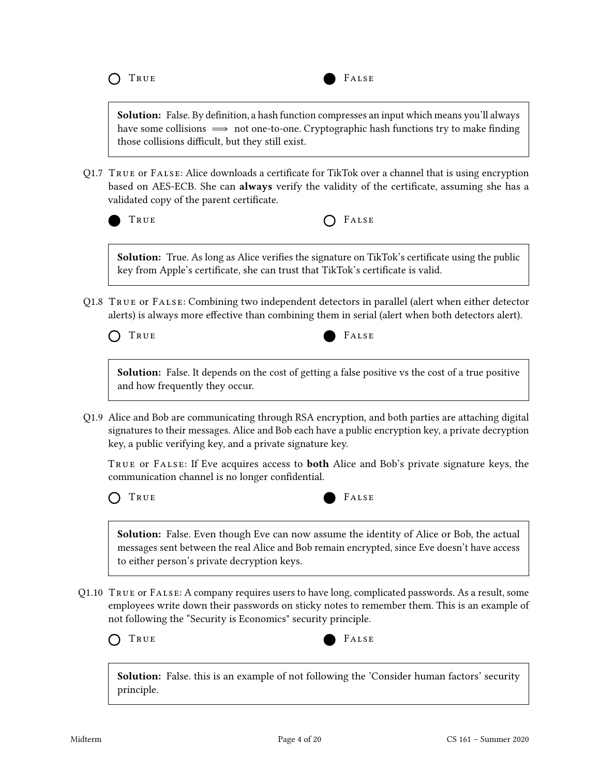

**Solution:** False. By definition, a hash function compresses an input which means you'll always have some collisions  $\implies$  not one-to-one. Cryptographic hash functions try to make finding those collisions difficult, but they still exist.

Q1.7 True or False: Alice downloads a certicate for TikTok over a channel that is using encryption based on AES-ECB. She can always verify the validity of the certificate, assuming she has a validated copy of the parent certificate.

| M.<br>- -<br>$\sim$<br>۰. |
|---------------------------|
|                           |

 $F_{\text{HUSE}}$ 

Solution: True. As long as Alice verifies the signature on TikTok's certificate using the public key from Apple's certificate, she can trust that TikTok's certificate is valid.

Q1.8 True or False: Combining two independent detectors in parallel (alert when either detector alerts) is always more effective than combining them in serial (alert when both detectors alert).

TRUE FALSE

Solution: False. It depends on the cost of getting a false positive vs the cost of a true positive and how frequently they occur.

Q1.9 Alice and Bob are communicating through RSA encryption, and both parties are attaching digital signatures to their messages. Alice and Bob each have a public encryption key, a private decryption key, a public verifying key, and a private signature key.

TRUE OF FALSE: If Eve acquires access to **both** Alice and Bob's private signature keys, the communication channel is no longer confidential.





Solution: False. Even though Eve can now assume the identity of Alice or Bob, the actual messages sent between the real Alice and Bob remain encrypted, since Eve doesn't have access to either person's private decryption keys.

Q1.10 True or False: A company requires users to have long, complicated passwords. As a result, some employees write down their passwords on sticky notes to remember them. This is an example of not following the "Security is Economics" security principle.



Solution: False. this is an example of not following the 'Consider human factors' security principle.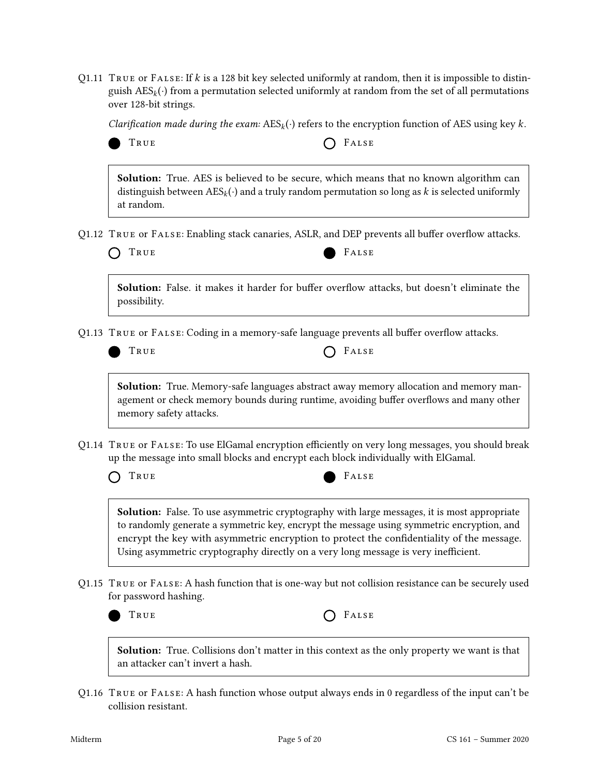Q1.11 TRUE or FALSE: If  $k$  is a 128 bit key selected uniformly at random, then it is impossible to distinguish  $\text{AES}_k(\cdot)$  from a permutation selected uniformly at random from the set of all permutations over 128-bit strings.

Clarification made during the exam:  $\text{AES}_k(\cdot)$  refers to the encryption function of AES using key k.

UE  $\bigcap$  FALSE

Solution: True. AES is believed to be secure, which means that no known algorithm can distinguish between  $\text{AES}_k(\cdot)$  and a truly random permutation so long as k is selected uniformly at random.

Q1.12 TRUE OF FALSE: Enabling stack canaries, ASLR, and DEP prevents all buffer overflow attacks.

|  | O TRUE |  |  |  |
|--|--------|--|--|--|
|--|--------|--|--|--|

FALSE

Solution: False. it makes it harder for buffer overflow attacks, but doesn't eliminate the possibility.

Q1.13 TRUE OF FALSE: Coding in a memory-safe language prevents all buffer overflow attacks.

| True | $O$ FALSE |
|------|-----------|
|------|-----------|

Solution: True. Memory-safe languages abstract away memory allocation and memory management or check memory bounds during runtime, avoiding buffer overflows and many other memory safety attacks.

Q1.14 TRUE OF FALSE: To use ElGamal encryption efficiently on very long messages, you should break up the message into small blocks and encrypt each block individually with ElGamal.

| True | FALSE |
|------|-------|
|------|-------|

Solution: False. To use asymmetric cryptography with large messages, it is most appropriate to randomly generate a symmetric key, encrypt the message using symmetric encryption, and encrypt the key with asymmetric encryption to protect the confidentiality of the message. Using asymmetric cryptography directly on a very long message is very inefficient.

Q1.15 True or False: A hash function that is one-way but not collision resistance can be securely used for password hashing.



TRUE **CELL** 

Solution: True. Collisions don't matter in this context as the only property we want is that an attacker can't invert a hash.

Q1.16 True or False: A hash function whose output always ends in 0 regardless of the input can't be collision resistant.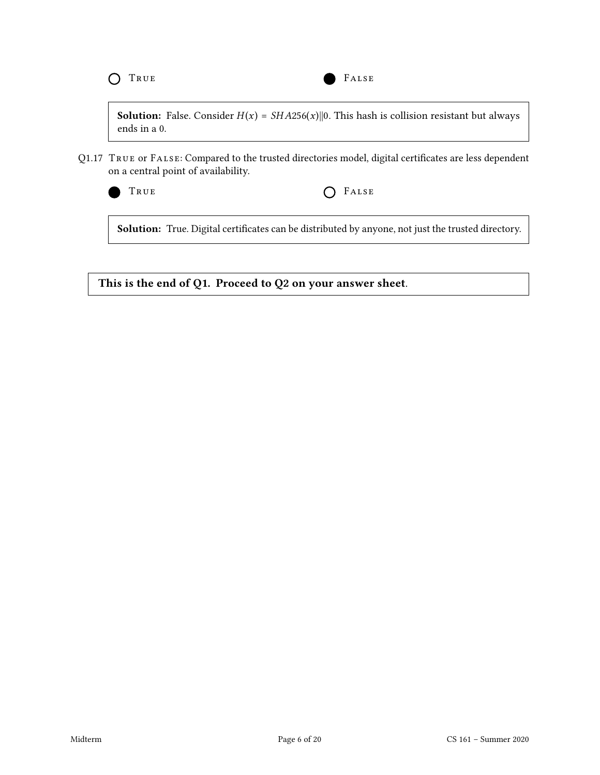**Solution:** False. Consider  $H(x) = SHA256(x)$ ||0. This hash is collision resistant but always ends in a 0.

Q1.17 TRUE OF FALSE: Compared to the trusted directories model, digital certificates are less dependent on a central point of availability.



TRUE **COLLECTER** 

Solution: True. Digital certificates can be distributed by anyone, not just the trusted directory.

This is the end of Q1. Proceed to Q2 on your answer sheet.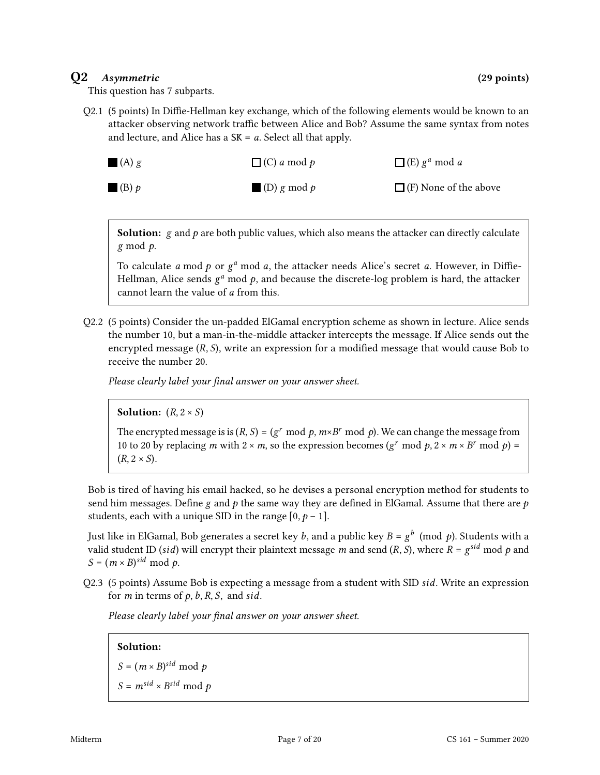### Q2 Asymmetric (29 points)

This question has 7 subparts.

Q2.1 (5 points) In Diffie-Hellman key exchange, which of the following elements would be known to an attacker observing network traffic between Alice and Bob? Assume the same syntax from notes and lecture, and Alice has a  $SK = a$ . Select all that apply.

| $\Box$ (A) g           | $\Box$ (C) a mod p | $\Box$ (E) $g^a$ mod a       |
|------------------------|--------------------|------------------------------|
| $\blacksquare$ (B) $p$ | $\Box$ (D) g mod p | $\Box$ (F) None of the above |

**Solution:**  $g$  and  $p$  are both public values, which also means the attacker can directly calculate  $g \mod p$ .

To calculate  $a \mod p$  or  $g^a \mod a$ , the attacker needs Alice's secret  $a$ . However, in Diffie-Hellman, Alice sends  $g^a$  mod  $p$ , and because the discrete-log problem is hard, the attacker cannot learn the value of *a* from this.

Q2.2 (5 points) Consider the un-padded ElGamal encryption scheme as shown in lecture. Alice sends the number 10, but a man-in-the-middle attacker intercepts the message. If Alice sends out the encrypted message  $(R, S)$ , write an expression for a modified message that would cause Bob to receive the number 20.

Please clearly label your final answer on your answer sheet.

#### **Solution:**  $(R, 2 \times S)$

The encrypted message is is  $(R, S) = (g^r \mod p, m \times B^r \mod p)$ . We can change the message from 10 to 20 by replacing m with  $2 \times m$ , so the expression becomes ( $g^r \mod p$ ,  $2 \times m \times B^r \mod p$ ) =  $(R, 2 \times S)$ .

Bob is tired of having his email hacked, so he devises a personal encryption method for students to send him messages. Define g and  $p$  the same way they are defined in ElGamal. Assume that there are  $p$ students, each with a unique SID in the range  $[0, p - 1]$ .

Just like in ElGamal, Bob generates a secret key  $\it{b}$ , and a public key  $\it{B}$  =  $\it{g}^{\it{b}}\,$  (mod  $\it{p}$ ). Students with a valid student ID (si*d*) will encrypt their plaintext message  $m$  and send (R, S), where  $R$  =  $g^{sid}$  mod  $p$  and  $S = (m \times B)^{sid} \mod p.$ 

Q2.3 (5 points) Assume Bob is expecting a message from a student with SID *sid*. Write an expression for  $m$  in terms of  $p$ ,  $b$ ,  $R$ ,  $S$ , and  $sid$ .

Please clearly label your final answer on your answer sheet.

#### Solution:

 $S = (m \times B)^{sid} \mod p$  $S = m^{sid} \times B^{sid} \mod p$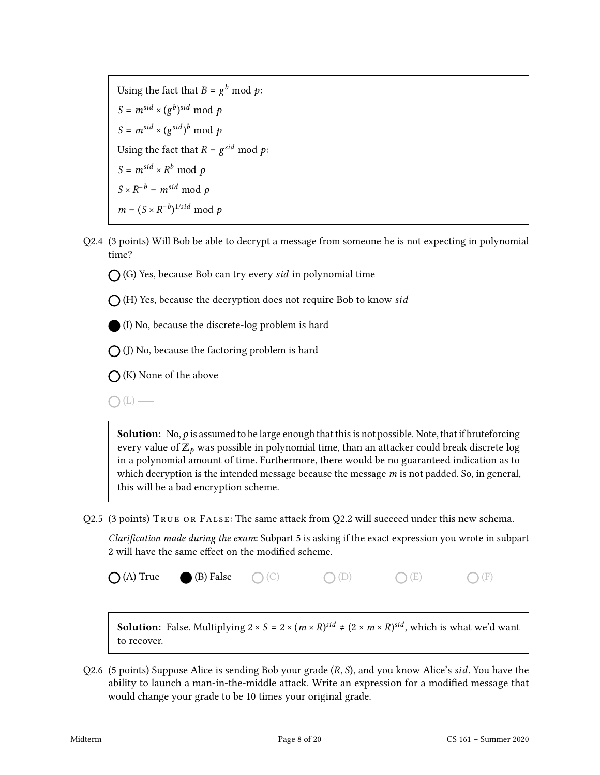Using the fact that  $B = g^b \bmod p$ :  $S = m^{sid} \times (g^b)^{sid} \mod p$  $S = m^{sid} \times (g^{sid})^b \mod p$ Using the fact that  $R = g^{sid} \mod p$ :  $S = m^{sid} \times R^b \mod p$  $S \times R^{-b} = m^{sid} \mod p$  $m = (S \times R^{-b})^{1/sid} \mod p$ 

Q2.4 (3 points) Will Bob be able to decrypt a message from someone he is not expecting in polynomial time?

 $\bigcap$  (G) Yes, because Bob can try every sid in polynomial time

 $\bigcap$  (H) Yes, because the decryption does not require Bob to know sid

(I) No, because the discrete-log problem is hard

 $\bigcap$  (J) No, because the factoring problem is hard

 $\bigcap$  (K) None of the above

 $\bigcap(L)$  —

**Solution:** No,  $p$  is assumed to be large enough that this is not possible. Note, that if bruteforcing every value of  $\mathbb{Z}_p$  was possible in polynomial time, than an attacker could break discrete log in a polynomial amount of time. Furthermore, there would be no guaranteed indication as to which decryption is the intended message because the message  $m$  is not padded. So, in general, this will be a bad encryption scheme.

Q2.5 (3 points) True or False: The same attack from Q2.2 will succeed under this new schema.

Clarification made during the exam: Subpart 5 is asking if the exact expression you wrote in subpart 2 will have the same effect on the modified scheme.

 $\bigcap (A)$  True (B) False  $\bigcap (C)$   $\longrightarrow$   $\bigcap (D)$   $\longrightarrow$   $\bigcap (E)$   $\longrightarrow$   $\bigcap (F)$   $\longrightarrow$ 

**Solution:** False. Multiplying  $2 \times S = 2 \times (m \times R)^{sid} \neq (2 \times m \times R)^{sid}$ , which is what we'd want to recover.

Q2.6 (5 points) Suppose Alice is sending Bob your grade  $(R, S)$ , and you know Alice's sid. You have the ability to launch a man-in-the-middle attack. Write an expression for a modified message that would change your grade to be 10 times your original grade.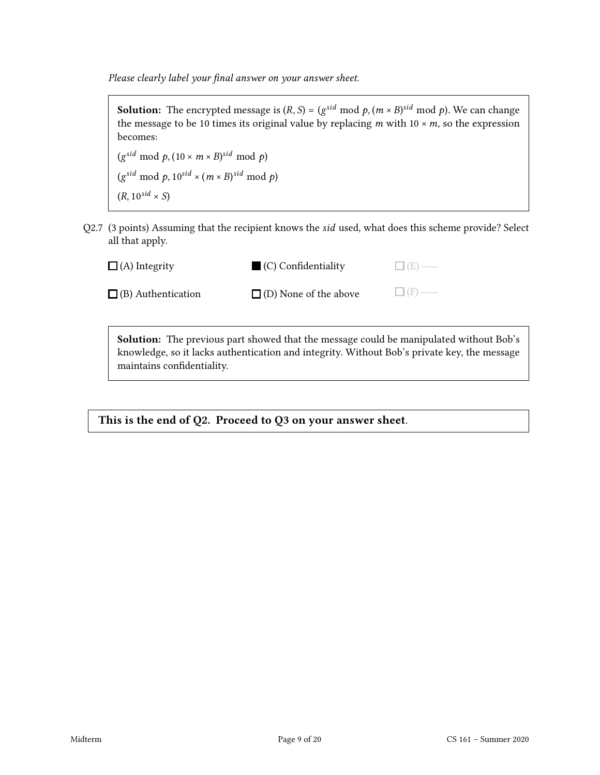Please clearly label your final answer on your answer sheet.

**Solution:** The encrypted message is  $(R, S)$  =  $(g^{sid} \text{ mod } p, (m \times B)^{sid} \text{ mod } p)$ . We can change the message to be 10 times its original value by replacing  $m$  with 10  $\times$   $m$ , so the expression becomes:

 $(g^{sid} \mod p, (10 \times m \times B)^{sid} \mod p)$  $(g^{sid} \mod p, 10^{sid} \times (m \times B)^{sid} \mod p)$  $(R, 10^{sid} \times S)$ 

Q2.7 (3 points) Assuming that the recipient knows the *sid* used, what does this scheme provide? Select all that apply.

| $\Box$ (A) Integrity      | $\Box$ (C) Confidentiality   | $\Box$ (E) — |
|---------------------------|------------------------------|--------------|
| $\Box$ (B) Authentication | $\Box$ (D) None of the above | $\Box$ (F) — |
|                           |                              |              |

Solution: The previous part showed that the message could be manipulated without Bob's knowledge, so it lacks authentication and integrity. Without Bob's private key, the message maintains confidentiality.

This is the end of Q2. Proceed to Q3 on your answer sheet.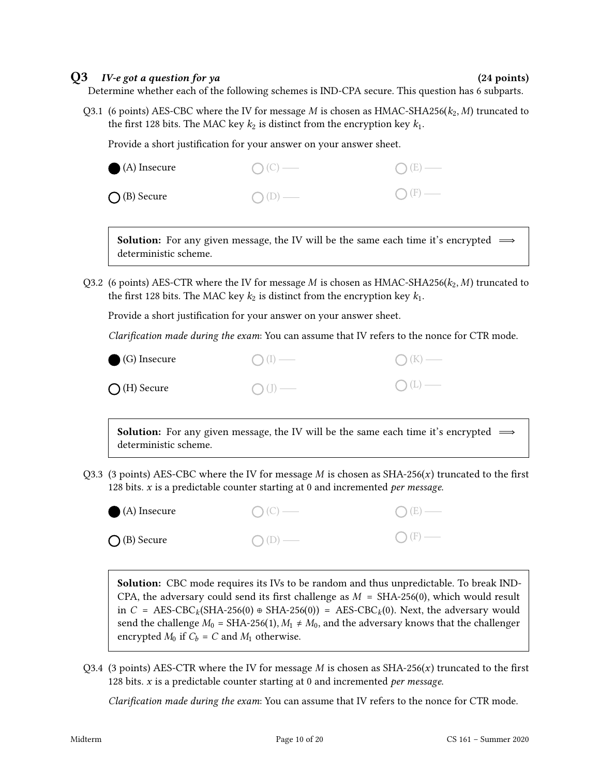#### $Q3$  *IV-e got a question for ya*  $(24 \text{ points})$

Determine whether each of the following schemes is IND-CPA secure. This question has 6 subparts.

Q3.1 (6 points) AES-CBC where the IV for message M is chosen as HMAC-SHA256( $k_2$ , M) truncated to the first 128 bits. The MAC key  $k_2$  is distinct from the encryption key  $k_1$ .

Provide a short justification for your answer on your answer sheet.

| $\bigcirc$ (A) Insecure | $O(C)$ — | $O(E)$ —        |
|-------------------------|----------|-----------------|
| $\bigcap$ (B) Secure    | $O(D)$ — | $\bigcap$ (F) — |

**Solution:** For any given message, the IV will be the same each time it's encrypted  $\implies$ deterministic scheme.

Q3.2 (6 points) AES-CTR where the IV for message M is chosen as HMAC-SHA256( $k_2$ , M) truncated to the first 128 bits. The MAC key  $k_2$  is distinct from the encryption key  $k_1$ .

Provide a short justification for your answer on your answer sheet.

Clarification made during the exam: You can assume that IV refers to the nonce for CTR mode.

| $\bigcirc$ (G) Insecure | $\bigcap (I)$ — | $O(K)$ — |
|-------------------------|-----------------|----------|
| $\bigcirc$ (H) Secure   | $\bigcap$ (J) — | $O(L)$ — |

**Solution:** For any given message, the IV will be the same each time it's encrypted  $\implies$ deterministic scheme.

Q3.3 (3 points) AES-CBC where the IV for message  $M$  is chosen as SHA-256( $x$ ) truncated to the first 128 bits.  $x$  is a predictable counter starting at 0 and incremented *per message*.

| $\bigcirc$ (A) Insecure | $O(C)$ — | $O(E)$ — |
|-------------------------|----------|----------|
| $\bigcirc$ (B) Secure   | $O(D)$ — | $O(F)$ — |

Solution: CBC mode requires its IVs to be random and thus unpredictable. To break IND-CPA, the adversary could send its first challenge as  $M = SHA-256(0)$ , which would result in  $C = \text{AES-CBC}_k(\text{SHA-256}(0) \oplus \text{SHA-256}(0)) = \text{AES-CBC}_k(0)$ . Next, the adversary would send the challenge  $M_0 = SHA-256(1), M_1 \neq M_0$ , and the adversary knows that the challenger encrypted  $M_0$  if  $C_b = C$  and  $M_1$  otherwise.

Q3.4 (3 points) AES-CTR where the IV for message  $M$  is chosen as SHA-256( $x$ ) truncated to the first 128 bits.  $x$  is a predictable counter starting at 0 and incremented per message.

Clarification made during the exam: You can assume that IV refers to the nonce for CTR mode.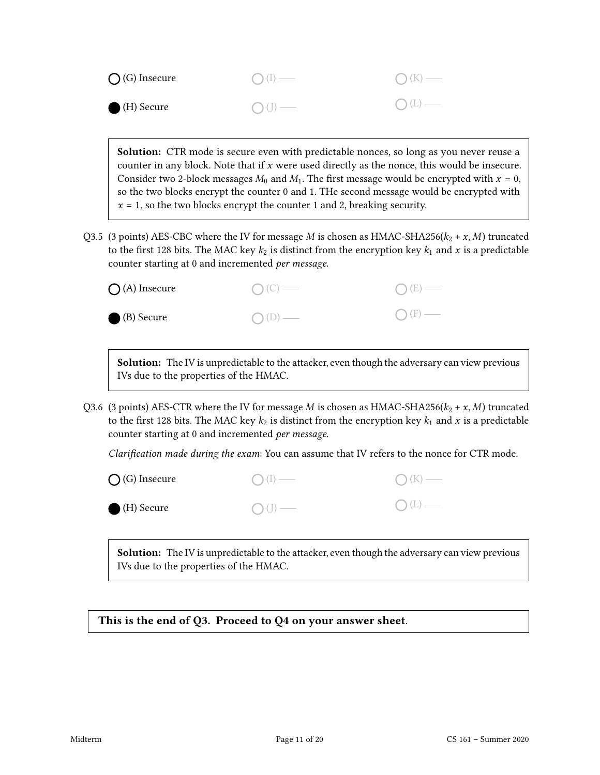| $\bigcap$ (G) Insecure | $\bigcap (I)$ —  | $O(K)$ —       |
|------------------------|------------------|----------------|
| (H) Secure             | $\bigcirc$ (J) — | $\bigcap(L)$ — |

Solution: CTR mode is secure even with predictable nonces, so long as you never reuse a counter in any block. Note that if  $x$  were used directly as the nonce, this would be insecure. Consider two 2-block messages  $M_0$  and  $M_1$ . The first message would be encrypted with  $x = 0$ , so the two blocks encrypt the counter 0 and 1. THe second message would be encrypted with  $x = 1$ , so the two blocks encrypt the counter 1 and 2, breaking security.

Q3.5 (3 points) AES-CBC where the IV for message M is chosen as HMAC-SHA256( $k_2 + x$ , M) truncated to the first 128 bits. The MAC key  $k_2$  is distinct from the encryption key  $k_1$  and x is a predictable counter starting at 0 and incremented per message.

| $\bigcirc$ (A) Insecure | $O(C)$ — | $O(E)$ —        |
|-------------------------|----------|-----------------|
| (B) Secure              | $O(D)$ — | $\bigcap$ (F) — |

**Solution:** The IV is unpredictable to the attacker, even though the adversary can view previous IVs due to the properties of the HMAC.

Q3.6 (3 points) AES-CTR where the IV for message M is chosen as HMAC-SHA256( $k_2 + x, M$ ) truncated to the first 128 bits. The MAC key  $k_2$  is distinct from the encryption key  $k_1$  and x is a predictable counter starting at 0 and incremented per message.

Clarification made during the exam: You can assume that IV refers to the nonce for CTR mode.

| $\bigcirc$ (G) Insecure | $\bigcap (I)$ —  | $\bigcap (K)$ — |
|-------------------------|------------------|-----------------|
| (H) Secure              | $\bigcirc$ (J) — | $O(L)$ —        |

**Solution:** The IV is unpredictable to the attacker, even though the adversary can view previous IVs due to the properties of the HMAC.

This is the end of Q3. Proceed to Q4 on your answer sheet.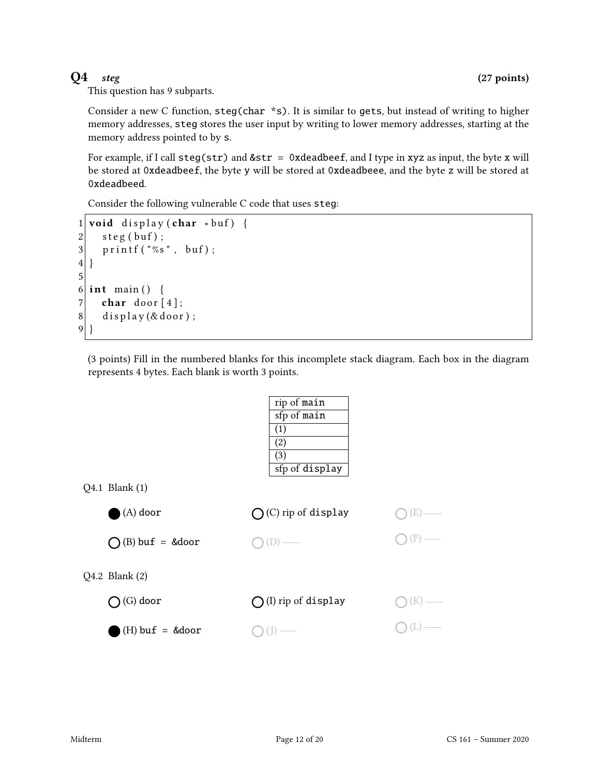This question has 9 subparts.

Consider a new C function, steg(char \*s). It is similar to gets, but instead of writing to higher memory addresses, steg stores the user input by writing to lower memory addresses, starting at the memory address pointed to by s.

For example, if I call  $\text{step}(\text{str})$  and  $\&\text{str} = 0$ xdeadbeef, and I type in xyz as input, the byte x will be stored at 0xdeadbeef, the byte y will be stored at 0xdeadbeee, and the byte z will be stored at 0xdeadbeed.

Consider the following vulnerable C code that uses steg:

```
1 void display (char *buf) {
2 \mid steg (buf);
3 printf ("%s", buf);
4 }
5
6 int main () {
7 char door [4];
8 display (& door);
9 }
```
(3 points) Fill in the numbered blanks for this incomplete stack diagram. Each box in the diagram represents 4 bytes. Each blank is worth 3 points.

|                           | rip of main                   |  |
|---------------------------|-------------------------------|--|
|                           | sfp of main                   |  |
|                           | (1)                           |  |
|                           | $\left( 2\right)$             |  |
|                           | $\left( 3\right)$             |  |
|                           | sfp of display                |  |
| Q4.1 Blank (1)            |                               |  |
| $(A)$ door                | $\bigcirc$ (C) rip of display |  |
| $\bigcap$ (B) buf = &door |                               |  |
| Q4.2 Blank (2)            |                               |  |
| $(G)$ door                | $\bigcap$ (I) rip of display  |  |
| $(H)$ buf = &door         |                               |  |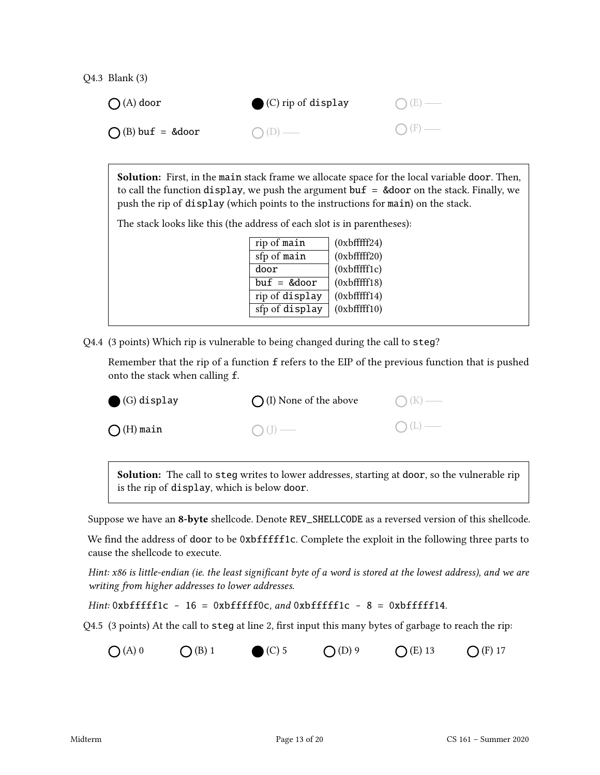Q4.3 Blank (3)

| $\bigcap (A)$ door | $\bullet$ (C) rip of display | $O(E)$ —        |
|--------------------|------------------------------|-----------------|
| $O(B)$ buf = &door | $O(D)$ —                     | $\bigcap$ (F) — |

Solution: First, in the main stack frame we allocate space for the local variable door. Then, to call the function display, we push the argument buf  $=$  &door on the stack. Finally, we push the rip of display (which points to the instructions for main) on the stack.

The stack looks like this (the address of each slot is in parentheses):

| rip of main    | $(0x$ bfffff24) |
|----------------|-----------------|
| sfp of main    | $(0x$ bfffff20) |
| door           | $(0x$ bfffff1c) |
| $buf = &door$  | $(0x$ bfffff18) |
| rip of display | $(0x$ bfffff14) |
| sfp of display | $(0x$ bfffff10) |
|                |                 |

Q4.4 (3 points) Which rip is vulnerable to being changed during the call to steg?

Remember that the rip of a function f refers to the EIP of the previous function that is pushed onto the stack when calling f.

| $\bigodot$ (G) display | $\bigcap$ (I) None of the above | $O(K)$ — |
|------------------------|---------------------------------|----------|
| $\bigcirc$ (H) main    | $\bigcirc$ (J) —                | $O(L)$ — |
|                        |                                 |          |

Solution: The call to steg writes to lower addresses, starting at door, so the vulnerable rip is the rip of display, which is below door.

Suppose we have an 8-byte shellcode. Denote REV\_SHELLCODE as a reversed version of this shellcode.

We find the address of door to be 0xbfffff1c. Complete the exploit in the following three parts to cause the shellcode to execute.

Hint: x86 is little-endian (ie. the least significant byte of a word is stored at the lowest address), and we are writing from higher addresses to lower addresses.

Hint:  $0$ xbfffff1c - 16 =  $0$ xbfffff0c, and  $0$ xbfffff1c - 8 =  $0$ xbfffff14.

Q4.5 (3 points) At the call to steg at line 2, first input this many bytes of garbage to reach the rip:

 $O(A) 0$   $O(B) 1$   $O(C) 5$   $O(D) 9$   $O(E) 13$   $O(F) 17$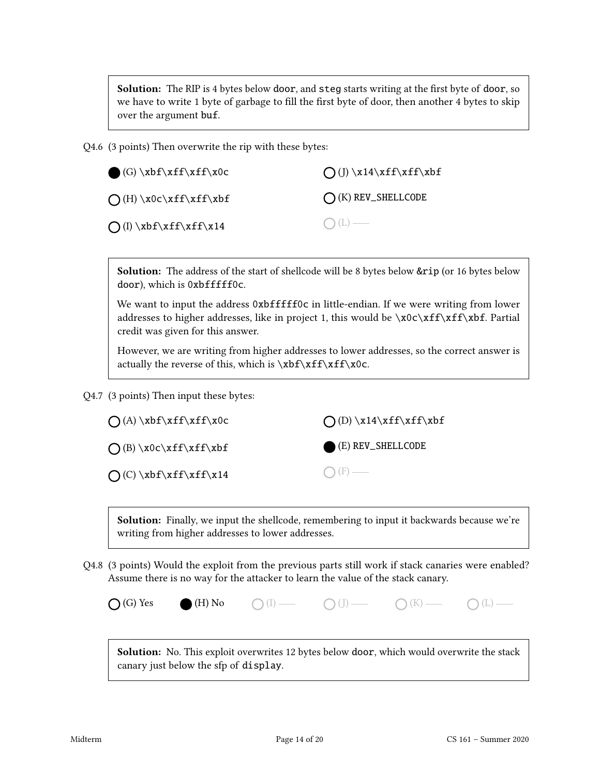Solution: The RIP is 4 bytes below door, and steg starts writing at the first byte of door, so we have to write 1 byte of garbage to fill the first byte of door, then another 4 bytes to skip over the argument buf.

Q4.6 (3 points) Then overwrite the rip with these bytes:

| $(G) \xbf{xf}\xf\xf\cdots$        | $\bigcap (J) \x14\xff\xff\xbf$ |
|-----------------------------------|--------------------------------|
| $\bigcap (H) \x0c\xff\xff\xbf$    | $\bigcirc$ (K) REV_SHELLCODE   |
| $\bigcap (I) \xbf{f}\xff\xf\f\xi$ | $O(L)$ —                       |

Solution: The address of the start of shellcode will be 8 bytes below &rip (or 16 bytes below door), which is 0xbffffff0c.

We want to input the address 0xbfffff0c in little-endian. If we were writing from lower addresses to higher addresses, like in project 1, this would be  $\x0c\xff\xff\f$ . Partial credit was given for this answer.

However, we are writing from higher addresses to lower addresses, so the correct answer is actually the reverse of this, which is  $\xbff\xf\xf\cdots$ 

Q4.7 (3 points) Then input these bytes:

| $\bigcap (A) \xbf{x}ff\xff\xoC$ | $\bigcap$ (D) \x14\xff\xff\xbf |
|---------------------------------|--------------------------------|
| $\bigcap (B) \x0c\xff\xff\xbf$  | $(E)$ REV_SHELLCODE            |
| $\bigcup (C) \xbf{x}ff\xf\f\xi$ | $\bigcap$ (F) —                |

Solution: Finally, we input the shellcode, remembering to input it backwards because we're writing from higher addresses to lower addresses.

Q4.8 (3 points) Would the exploit from the previous parts still work if stack canaries were enabled? Assume there is no way for the attacker to learn the value of the stack canary.

| $\bigcirc$ (G) Yes | $\bullet$ (H) No | $O$ (I) — | $O(J)$ — | $O(K)$ — | $\bigcirc$ (L) - |
|--------------------|------------------|-----------|----------|----------|------------------|
|--------------------|------------------|-----------|----------|----------|------------------|

Solution: No. This exploit overwrites 12 bytes below door, which would overwrite the stack canary just below the sfp of display.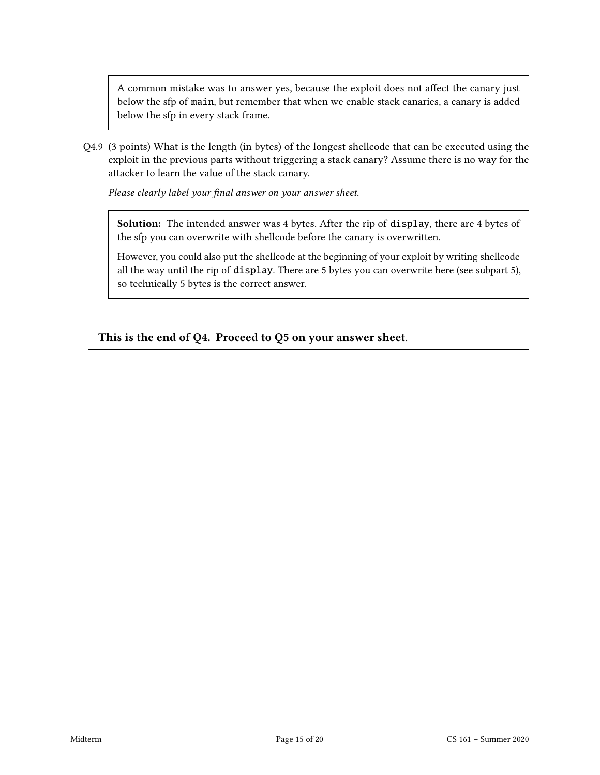A common mistake was to answer yes, because the exploit does not affect the canary just below the sfp of main, but remember that when we enable stack canaries, a canary is added below the sfp in every stack frame.

Q4.9 (3 points) What is the length (in bytes) of the longest shellcode that can be executed using the exploit in the previous parts without triggering a stack canary? Assume there is no way for the attacker to learn the value of the stack canary.

Please clearly label your final answer on your answer sheet.

Solution: The intended answer was 4 bytes. After the rip of display, there are 4 bytes of the sfp you can overwrite with shellcode before the canary is overwritten.

However, you could also put the shellcode at the beginning of your exploit by writing shellcode all the way until the rip of display. There are 5 bytes you can overwrite here (see subpart 5), so technically 5 bytes is the correct answer.

This is the end of Q4. Proceed to Q5 on your answer sheet.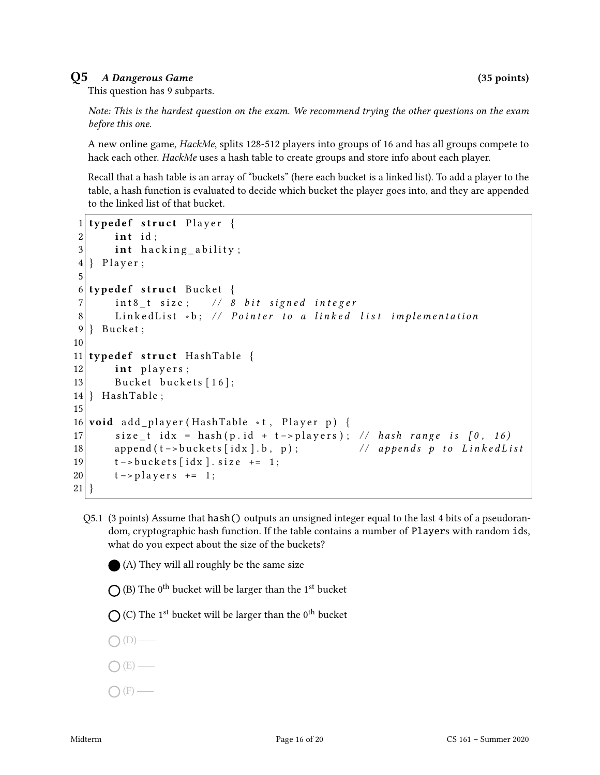### Q5 A Dangerous Game (35 points)

This question has 9 subparts.

Note: This is the hardest question on the exam. We recommend trying the other questions on the exam before this one.

A new online game, *HackMe*, splits 128-512 players into groups of 16 and has all groups compete to hack each other. HackMe uses a hash table to create groups and store info about each player.

Recall that a hash table is an array of "buckets" (here each bucket is a linked list). To add a player to the table, a hash function is evaluated to decide which bucket the player goes into, and they are appended to the linked list of that bucket.

```
1 typedef struct Player {
2 int id;
3 int hacking ability;
4 } Player;
5
6 typedef struct Bucket {
7 int8_t size; // 8 bit signed integer
8 Linked List *b; // Pointer to a linked list implementation
9 } Bucket;
10
11 typedef struct HashTable {
12 int players;
13 Bucket buckets [16];
14 } HashTable;
15
16 void add_player (HashTable *t, Player p) {
17 size_t idx = hash(p.id + t->players); // hash range is [0, 16)18 append (t \rightarrow \text{buckets} \mid \text{idx} \mid b, p); // appends p to LinkedList
19 t –> buckets [idx]. size += 1;
20 t - > p layers += 1;
21 }
```
Q5.1 (3 points) Assume that hash() outputs an unsigned integer equal to the last 4 bits of a pseudorandom, cryptographic hash function. If the table contains a number of Players with random ids, what do you expect about the size of the buckets?

(A) They will all roughly be the same size

(B) The  $0^{\text{th}}$  bucket will be larger than the  $1^{\text{st}}$  bucket

(C) The  $1^{\text{st}}$  bucket will be larger than the  $0^{\text{th}}$  bucket

- $\bigcirc$  (D) —
- (E)
- $\bigcap$  (F) —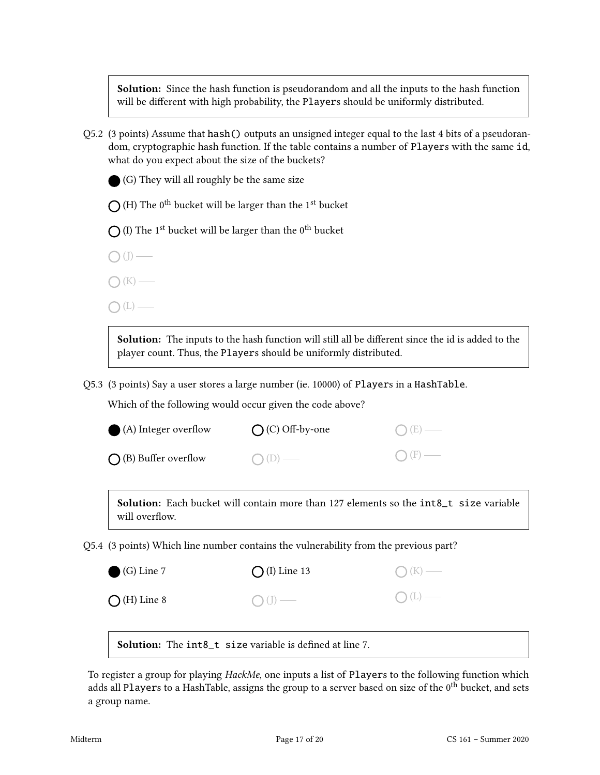Solution: Since the hash function is pseudorandom and all the inputs to the hash function will be different with high probability, the Players should be uniformly distributed.

Q5.2 (3 points) Assume that hash() outputs an unsigned integer equal to the last 4 bits of a pseudorandom, cryptographic hash function. If the table contains a number of Players with the same id, what do you expect about the size of the buckets?

(G) They will all roughly be the same size

(H) The  $0^{\text{th}}$  bucket will be larger than the  $1^{\text{st}}$  bucket

(I) The  $1<sup>st</sup>$  bucket will be larger than the  $0<sup>th</sup>$  bucket

 $\bigcirc$  (J) —

 $\bigcap$  (K) —

 $\bigcap(L)$  —

Solution: The inputs to the hash function will still all be different since the id is added to the player count. Thus, the Players should be uniformly distributed.

Q5.3 (3 points) Say a user stores a large number (ie. 10000) of Players in a HashTable.

Which of the following would occur given the code above?

| $\bigcirc$ (A) Integer overflow | $\bigcap$ (C) Off-by-one | $O(E)$ —        |
|---------------------------------|--------------------------|-----------------|
| $\bigcap$ (B) Buffer overflow   | $O(D)$ —                 | $\bigcap$ (F) — |

Solution: Each bucket will contain more than 127 elements so the int8\_t size variable will overflow.

Q5.4 (3 points) Which line number contains the vulnerability from the previous part?

| $\bigodot$ (G) Line 7 | $\bigcap (I)$ Line 13 | $\bigcap (K)$ — |
|-----------------------|-----------------------|-----------------|
| $\bigcirc$ (H) Line 8 | $O(J)$ —              | O(L)            |
|                       |                       |                 |

Solution: The int8\_t size variable is defined at line 7.

To register a group for playing *HackMe*, one inputs a list of Players to the following function which adds all Players to a HashTable, assigns the group to a server based on size of the  $0<sup>th</sup>$  bucket, and sets a group name.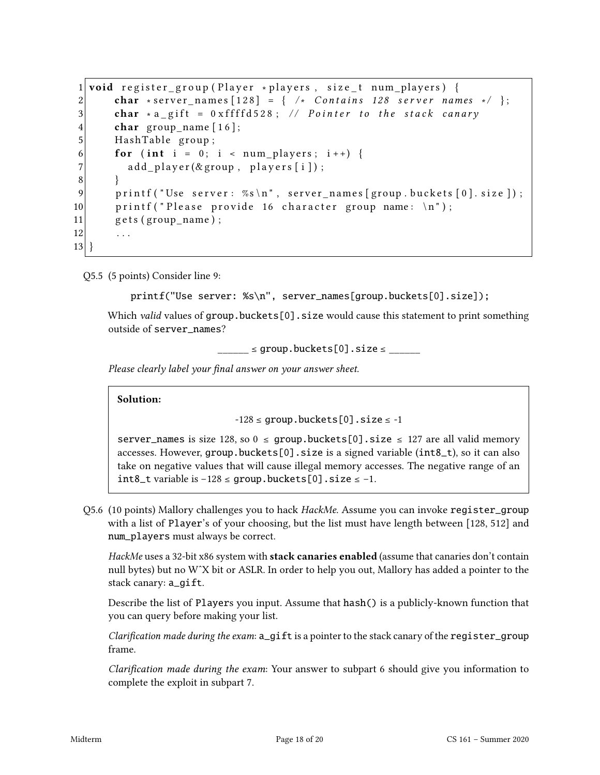```
1 void register group (Player * players, size t num players) {
2 char ∗ s erver names \lceil 128 \rceil = \{ / * Contains 128 server names */ };
3 char * a gift = 0 x f f f d 5 28; // P o inter to the stack canary
4 char group_name [16];
5 HashTable group;
6 for (int i = 0; i < num_players; i++) {
7 add_player(&group, players [i]);
8 }
9 printf ("Use server: \%s \n\cdot n", server_names [group.buckets [0].size]);
10 printf ("Please provide 16 character group name: \ln");
11 gets (group_name);
12 . . . .
13 }
```
Q5.5 (5 points) Consider line 9:

```
printf("Use server: %s\n", server_names[group.buckets[0].size]);
```
Which *valid* values of group.buckets[0]. size would cause this statement to print something outside of server\_names?

 $\angle$  s group.buckets[0].size  $\leq$ 

Please clearly label your final answer on your answer sheet.

Solution:

```
-128 \le group.buckets[0].size \le -1
```
server\_names is size 128, so  $0 \le$  group.buckets[0].size  $\le$  127 are all valid memory accesses. However, group.buckets[0].size is a signed variable ( $int8_t$ ), so it can also take on negative values that will cause illegal memory accesses. The negative range of an int8\_t variable is −128 ≤ group.buckets[0].size ≤ −1.

Q5.6 (10 points) Mallory challenges you to hack HackMe. Assume you can invoke register\_group with a list of Player's of your choosing, but the list must have length between [128, 512] and num\_players must always be correct.

HackMe uses a 32-bit x86 system with **stack canaries enabled** (assume that canaries don't contain null bytes) but no WˆX bit or ASLR. In order to help you out, Mallory has added a pointer to the stack canary: a\_gift.

Describe the list of Players you input. Assume that hash() is a publicly-known function that you can query before making your list.

Clarification made during the exam:  $a$ \_gift is a pointer to the stack canary of the register\_group frame.

Clarification made during the exam: Your answer to subpart 6 should give you information to complete the exploit in subpart 7.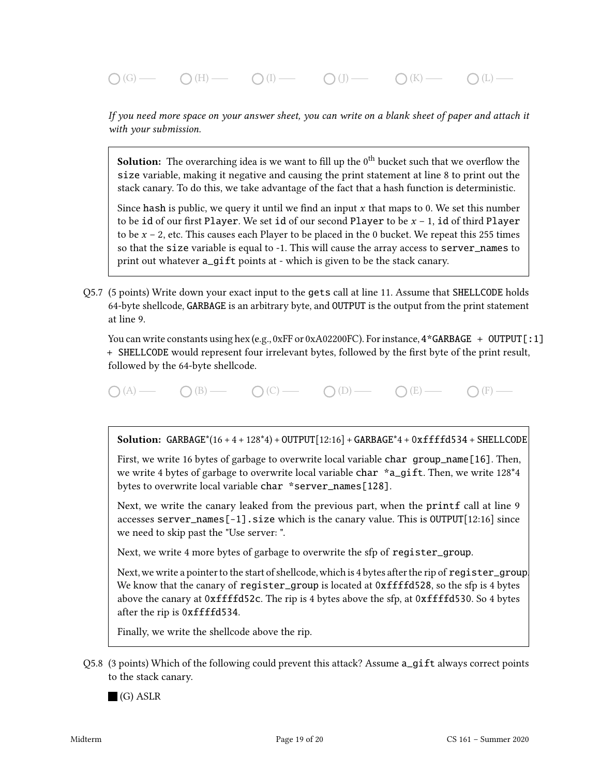$\bigcap(G)$  (G)  $\longrightarrow$   $\bigcap(H)$   $\longrightarrow$   $\bigcap(I)$   $\longrightarrow$   $\bigcap(J)$   $\longrightarrow$   $\bigcap(K)$   $\longrightarrow$   $\bigcap(L)$   $\longrightarrow$ 

If you need more space on your answer sheet, you can write on a blank sheet of paper and attach it with your submission.

**Solution:** The overarching idea is we want to fill up the  $0<sup>th</sup>$  bucket such that we overflow the size variable, making it negative and causing the print statement at line 8 to print out the stack canary. To do this, we take advantage of the fact that a hash function is deterministic.

Since hash is public, we query it until we find an input  $x$  that maps to 0. We set this number to be id of our first Player. We set id of our second Player to be  $x - 1$ , id of third Player to be  $x - 2$ , etc. This causes each Player to be placed in the 0 bucket. We repeat this 255 times so that the size variable is equal to -1. This will cause the array access to server\_names to print out whatever a\_gift points at - which is given to be the stack canary.

Q5.7 (5 points) Write down your exact input to the gets call at line 11. Assume that SHELLCODE holds 64-byte shellcode, GARBAGE is an arbitrary byte, and OUTPUT is the output from the print statement at line 9.

You can write constants using hex (e.g., 0xFF or 0xA02200FC). For instance,  $4*GARBAGE + OUTPUT[:1]$ + SHELLCODE would represent four irrelevant bytes, followed by the first byte of the print result, followed by the 64-byte shellcode.

 $\bigcap (A) \longrightarrow \bigcap (B) \longrightarrow \bigcap (C) \longrightarrow \bigcap (D) \longrightarrow \bigcap (E) \longrightarrow$ 

Solution:  $GARBAGE*(16 + 4 + 128*4) + OUTPUT[12:16] + GARBAGE*4 + 0xffffd534 + SHELLCODE$ 

First, we write 16 bytes of garbage to overwrite local variable char group\_name[16]. Then, we write 4 bytes of garbage to overwrite local variable char \*a\_gift. Then, we write 128<sup>\*4</sup> bytes to overwrite local variable char \*server\_names[128].

Next, we write the canary leaked from the previous part, when the printf call at line 9 accesses server\_names[-1].size which is the canary value. This is OUTPUT[12:16] since we need to skip past the "Use server: ".

Next, we write 4 more bytes of garbage to overwrite the sfp of register\_group.

Next, we write a pointer to the start of shellcode, which is 4 bytes after the rip of reqister\_group. We know that the canary of register\_group is located at  $0$ xffffd528, so the sfp is 4 bytes above the canary at 0xffffd52c. The rip is 4 bytes above the sfp, at 0xffffd530. So 4 bytes after the rip is 0xffffd534.

Finally, we write the shellcode above the rip.

Q5.8 (3 points) Which of the following could prevent this attack? Assume a\_gift always correct points to the stack canary.

(G) ASLR